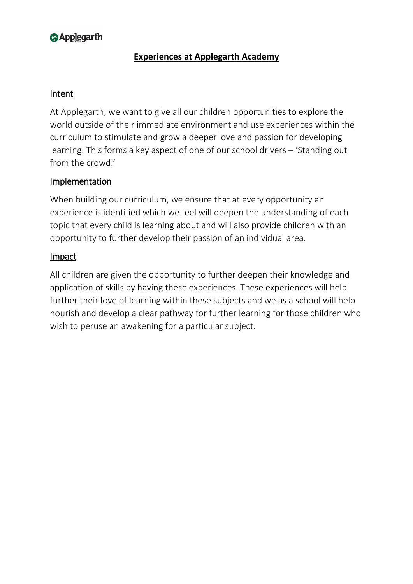# **@Applegarth**

## **Experiences at Applegarth Academy**

#### Intent

At Applegarth, we want to give all our children opportunities to explore the world outside of their immediate environment and use experiences within the curriculum to stimulate and grow a deeper love and passion for developing learning. This forms a key aspect of one of our school drivers – 'Standing out from the crowd.'

### Implementation

When building our curriculum, we ensure that at every opportunity an experience is identified which we feel will deepen the understanding of each topic that every child is learning about and will also provide children with an opportunity to further develop their passion of an individual area.

#### Impact

All children are given the opportunity to further deepen their knowledge and application of skills by having these experiences. These experiences will help further their love of learning within these subjects and we as a school will help nourish and develop a clear pathway for further learning for those children who wish to peruse an awakening for a particular subject.